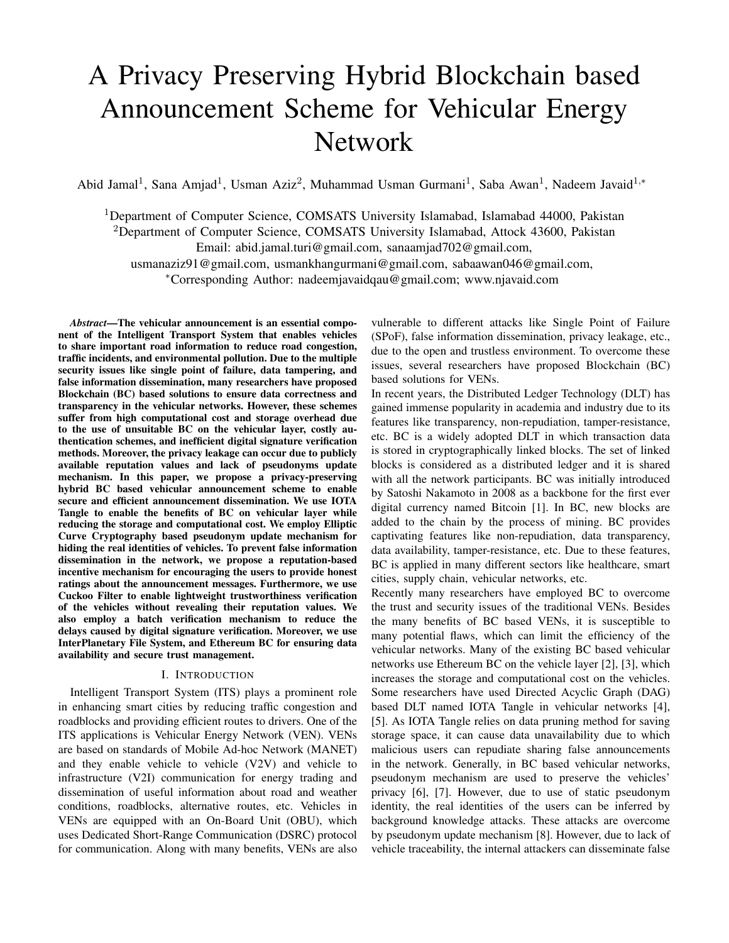# A Privacy Preserving Hybrid Blockchain based Announcement Scheme for Vehicular Energy Network

Abid Jamal<sup>1</sup>, Sana Amjad<sup>1</sup>, Usman Aziz<sup>2</sup>, Muhammad Usman Gurmani<sup>1</sup>, Saba Awan<sup>1</sup>, Nadeem Javaid<sup>1,\*</sup>

<sup>1</sup>Department of Computer Science, COMSATS University Islamabad, Islamabad 44000, Pakistan <sup>2</sup>Department of Computer Science, COMSATS University Islamabad, Attock 43600, Pakistan Email: abid.jamal.turi@gmail.com, sanaamjad702@gmail.com, usmanaziz91@gmail.com, usmankhangurmani@gmail.com, sabaawan046@gmail.com, <sup>∗</sup>Corresponding Author: nadeemjavaidqau@gmail.com; www.njavaid.com

*Abstract*—The vehicular announcement is an essential component of the Intelligent Transport System that enables vehicles to share important road information to reduce road congestion, traffic incidents, and environmental pollution. Due to the multiple security issues like single point of failure, data tampering, and false information dissemination, many researchers have proposed Blockchain (BC) based solutions to ensure data correctness and transparency in the vehicular networks. However, these schemes suffer from high computational cost and storage overhead due to the use of unsuitable BC on the vehicular layer, costly authentication schemes, and inefficient digital signature verification methods. Moreover, the privacy leakage can occur due to publicly available reputation values and lack of pseudonyms update mechanism. In this paper, we propose a privacy-preserving hybrid BC based vehicular announcement scheme to enable secure and efficient announcement dissemination. We use IOTA Tangle to enable the benefits of BC on vehicular layer while reducing the storage and computational cost. We employ Elliptic Curve Cryptography based pseudonym update mechanism for hiding the real identities of vehicles. To prevent false information dissemination in the network, we propose a reputation-based incentive mechanism for encouraging the users to provide honest ratings about the announcement messages. Furthermore, we use Cuckoo Filter to enable lightweight trustworthiness verification of the vehicles without revealing their reputation values. We also employ a batch verification mechanism to reduce the delays caused by digital signature verification. Moreover, we use InterPlanetary File System, and Ethereum BC for ensuring data availability and secure trust management.

### I. INTRODUCTION

Intelligent Transport System (ITS) plays a prominent role in enhancing smart cities by reducing traffic congestion and roadblocks and providing efficient routes to drivers. One of the ITS applications is Vehicular Energy Network (VEN). VENs are based on standards of Mobile Ad-hoc Network (MANET) and they enable vehicle to vehicle (V2V) and vehicle to infrastructure (V2I) communication for energy trading and dissemination of useful information about road and weather conditions, roadblocks, alternative routes, etc. Vehicles in VENs are equipped with an On-Board Unit (OBU), which uses Dedicated Short-Range Communication (DSRC) protocol for communication. Along with many benefits, VENs are also

vulnerable to different attacks like Single Point of Failure (SPoF), false information dissemination, privacy leakage, etc., due to the open and trustless environment. To overcome these issues, several researchers have proposed Blockchain (BC) based solutions for VENs.

In recent years, the Distributed Ledger Technology (DLT) has gained immense popularity in academia and industry due to its features like transparency, non-repudiation, tamper-resistance, etc. BC is a widely adopted DLT in which transaction data is stored in cryptographically linked blocks. The set of linked blocks is considered as a distributed ledger and it is shared with all the network participants. BC was initially introduced by Satoshi Nakamoto in 2008 as a backbone for the first ever digital currency named Bitcoin [1]. In BC, new blocks are added to the chain by the process of mining. BC provides captivating features like non-repudiation, data transparency, data availability, tamper-resistance, etc. Due to these features, BC is applied in many different sectors like healthcare, smart cities, supply chain, vehicular networks, etc.

Recently many researchers have employed BC to overcome the trust and security issues of the traditional VENs. Besides the many benefits of BC based VENs, it is susceptible to many potential flaws, which can limit the efficiency of the vehicular networks. Many of the existing BC based vehicular networks use Ethereum BC on the vehicle layer [2], [3], which increases the storage and computational cost on the vehicles. Some researchers have used Directed Acyclic Graph (DAG) based DLT named IOTA Tangle in vehicular networks [4], [5]. As IOTA Tangle relies on data pruning method for saving storage space, it can cause data unavailability due to which malicious users can repudiate sharing false announcements in the network. Generally, in BC based vehicular networks, pseudonym mechanism are used to preserve the vehicles' privacy [6], [7]. However, due to use of static pseudonym identity, the real identities of the users can be inferred by background knowledge attacks. These attacks are overcome by pseudonym update mechanism [8]. However, due to lack of vehicle traceability, the internal attackers can disseminate false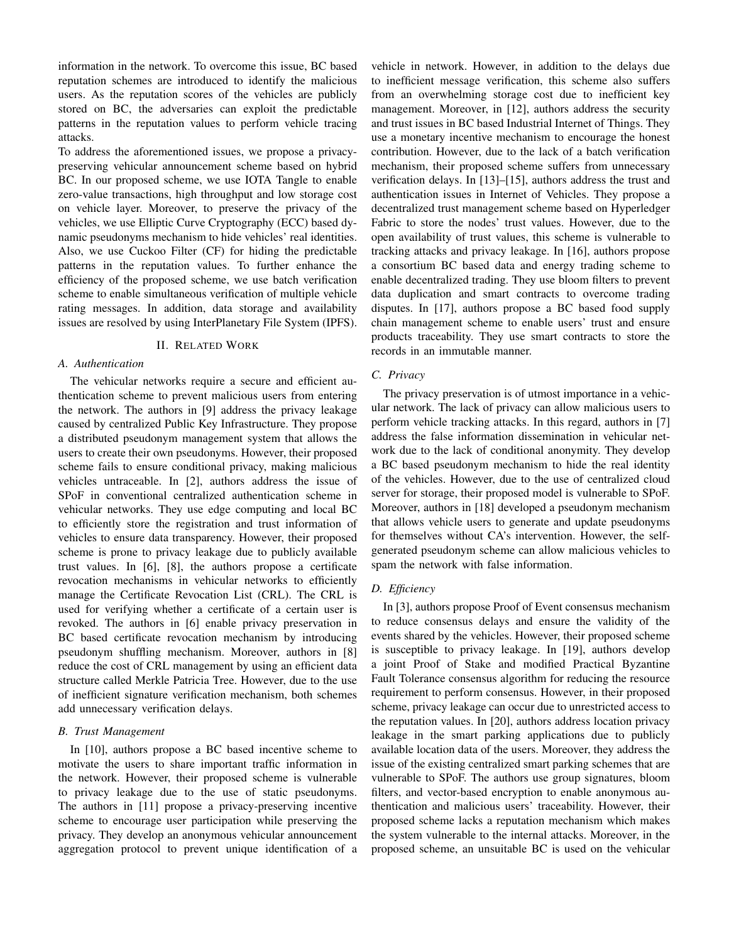information in the network. To overcome this issue, BC based reputation schemes are introduced to identify the malicious users. As the reputation scores of the vehicles are publicly stored on BC, the adversaries can exploit the predictable patterns in the reputation values to perform vehicle tracing attacks.

To address the aforementioned issues, we propose a privacypreserving vehicular announcement scheme based on hybrid BC. In our proposed scheme, we use IOTA Tangle to enable zero-value transactions, high throughput and low storage cost on vehicle layer. Moreover, to preserve the privacy of the vehicles, we use Elliptic Curve Cryptography (ECC) based dynamic pseudonyms mechanism to hide vehicles' real identities. Also, we use Cuckoo Filter (CF) for hiding the predictable patterns in the reputation values. To further enhance the efficiency of the proposed scheme, we use batch verification scheme to enable simultaneous verification of multiple vehicle rating messages. In addition, data storage and availability issues are resolved by using InterPlanetary File System (IPFS).

# II. RELATED WORK

# *A. Authentication*

The vehicular networks require a secure and efficient authentication scheme to prevent malicious users from entering the network. The authors in [9] address the privacy leakage caused by centralized Public Key Infrastructure. They propose a distributed pseudonym management system that allows the users to create their own pseudonyms. However, their proposed scheme fails to ensure conditional privacy, making malicious vehicles untraceable. In [2], authors address the issue of SPoF in conventional centralized authentication scheme in vehicular networks. They use edge computing and local BC to efficiently store the registration and trust information of vehicles to ensure data transparency. However, their proposed scheme is prone to privacy leakage due to publicly available trust values. In [6], [8], the authors propose a certificate revocation mechanisms in vehicular networks to efficiently manage the Certificate Revocation List (CRL). The CRL is used for verifying whether a certificate of a certain user is revoked. The authors in [6] enable privacy preservation in BC based certificate revocation mechanism by introducing pseudonym shuffling mechanism. Moreover, authors in [8] reduce the cost of CRL management by using an efficient data structure called Merkle Patricia Tree. However, due to the use of inefficient signature verification mechanism, both schemes add unnecessary verification delays.

### *B. Trust Management*

In [10], authors propose a BC based incentive scheme to motivate the users to share important traffic information in the network. However, their proposed scheme is vulnerable to privacy leakage due to the use of static pseudonyms. The authors in [11] propose a privacy-preserving incentive scheme to encourage user participation while preserving the privacy. They develop an anonymous vehicular announcement aggregation protocol to prevent unique identification of a vehicle in network. However, in addition to the delays due to inefficient message verification, this scheme also suffers from an overwhelming storage cost due to inefficient key management. Moreover, in [12], authors address the security and trust issues in BC based Industrial Internet of Things. They use a monetary incentive mechanism to encourage the honest contribution. However, due to the lack of a batch verification mechanism, their proposed scheme suffers from unnecessary verification delays. In [13]–[15], authors address the trust and authentication issues in Internet of Vehicles. They propose a decentralized trust management scheme based on Hyperledger Fabric to store the nodes' trust values. However, due to the open availability of trust values, this scheme is vulnerable to tracking attacks and privacy leakage. In [16], authors propose a consortium BC based data and energy trading scheme to enable decentralized trading. They use bloom filters to prevent data duplication and smart contracts to overcome trading disputes. In [17], authors propose a BC based food supply chain management scheme to enable users' trust and ensure products traceability. They use smart contracts to store the records in an immutable manner.

# *C. Privacy*

The privacy preservation is of utmost importance in a vehicular network. The lack of privacy can allow malicious users to perform vehicle tracking attacks. In this regard, authors in [7] address the false information dissemination in vehicular network due to the lack of conditional anonymity. They develop a BC based pseudonym mechanism to hide the real identity of the vehicles. However, due to the use of centralized cloud server for storage, their proposed model is vulnerable to SPoF. Moreover, authors in [18] developed a pseudonym mechanism that allows vehicle users to generate and update pseudonyms for themselves without CA's intervention. However, the selfgenerated pseudonym scheme can allow malicious vehicles to spam the network with false information.

## *D. Efficiency*

In [3], authors propose Proof of Event consensus mechanism to reduce consensus delays and ensure the validity of the events shared by the vehicles. However, their proposed scheme is susceptible to privacy leakage. In [19], authors develop a joint Proof of Stake and modified Practical Byzantine Fault Tolerance consensus algorithm for reducing the resource requirement to perform consensus. However, in their proposed scheme, privacy leakage can occur due to unrestricted access to the reputation values. In [20], authors address location privacy leakage in the smart parking applications due to publicly available location data of the users. Moreover, they address the issue of the existing centralized smart parking schemes that are vulnerable to SPoF. The authors use group signatures, bloom filters, and vector-based encryption to enable anonymous authentication and malicious users' traceability. However, their proposed scheme lacks a reputation mechanism which makes the system vulnerable to the internal attacks. Moreover, in the proposed scheme, an unsuitable BC is used on the vehicular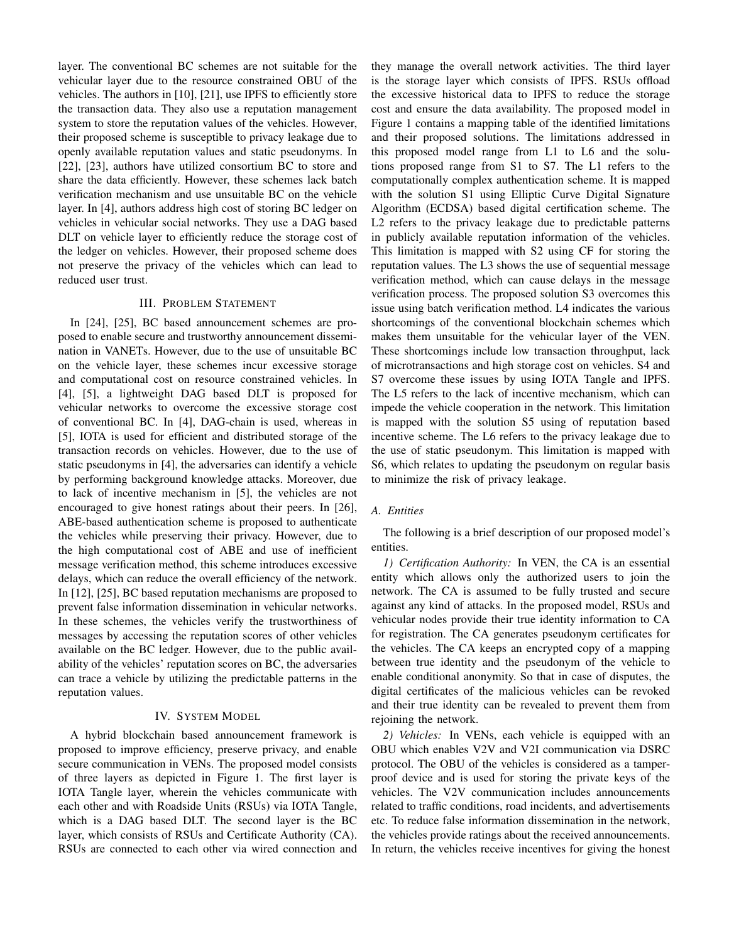layer. The conventional BC schemes are not suitable for the vehicular layer due to the resource constrained OBU of the vehicles. The authors in [10], [21], use IPFS to efficiently store the transaction data. They also use a reputation management system to store the reputation values of the vehicles. However, their proposed scheme is susceptible to privacy leakage due to openly available reputation values and static pseudonyms. In [22], [23], authors have utilized consortium BC to store and share the data efficiently. However, these schemes lack batch verification mechanism and use unsuitable BC on the vehicle layer. In [4], authors address high cost of storing BC ledger on vehicles in vehicular social networks. They use a DAG based DLT on vehicle layer to efficiently reduce the storage cost of the ledger on vehicles. However, their proposed scheme does not preserve the privacy of the vehicles which can lead to reduced user trust.

## III. PROBLEM STATEMENT

In [24], [25], BC based announcement schemes are proposed to enable secure and trustworthy announcement dissemination in VANETs. However, due to the use of unsuitable BC on the vehicle layer, these schemes incur excessive storage and computational cost on resource constrained vehicles. In [4], [5], a lightweight DAG based DLT is proposed for vehicular networks to overcome the excessive storage cost of conventional BC. In [4], DAG-chain is used, whereas in [5], IOTA is used for efficient and distributed storage of the transaction records on vehicles. However, due to the use of static pseudonyms in [4], the adversaries can identify a vehicle by performing background knowledge attacks. Moreover, due to lack of incentive mechanism in [5], the vehicles are not encouraged to give honest ratings about their peers. In [26], ABE-based authentication scheme is proposed to authenticate the vehicles while preserving their privacy. However, due to the high computational cost of ABE and use of inefficient message verification method, this scheme introduces excessive delays, which can reduce the overall efficiency of the network. In [12], [25], BC based reputation mechanisms are proposed to prevent false information dissemination in vehicular networks. In these schemes, the vehicles verify the trustworthiness of messages by accessing the reputation scores of other vehicles available on the BC ledger. However, due to the public availability of the vehicles' reputation scores on BC, the adversaries can trace a vehicle by utilizing the predictable patterns in the reputation values.

### IV. SYSTEM MODEL

A hybrid blockchain based announcement framework is proposed to improve efficiency, preserve privacy, and enable secure communication in VENs. The proposed model consists of three layers as depicted in Figure 1. The first layer is IOTA Tangle layer, wherein the vehicles communicate with each other and with Roadside Units (RSUs) via IOTA Tangle, which is a DAG based DLT. The second layer is the BC layer, which consists of RSUs and Certificate Authority (CA). RSUs are connected to each other via wired connection and

they manage the overall network activities. The third layer is the storage layer which consists of IPFS. RSUs offload the excessive historical data to IPFS to reduce the storage cost and ensure the data availability. The proposed model in Figure 1 contains a mapping table of the identified limitations and their proposed solutions. The limitations addressed in this proposed model range from L1 to L6 and the solutions proposed range from S1 to S7. The L1 refers to the computationally complex authentication scheme. It is mapped with the solution S1 using Elliptic Curve Digital Signature Algorithm (ECDSA) based digital certification scheme. The L2 refers to the privacy leakage due to predictable patterns in publicly available reputation information of the vehicles. This limitation is mapped with S2 using CF for storing the reputation values. The L3 shows the use of sequential message verification method, which can cause delays in the message verification process. The proposed solution S3 overcomes this issue using batch verification method. L4 indicates the various shortcomings of the conventional blockchain schemes which makes them unsuitable for the vehicular layer of the VEN. These shortcomings include low transaction throughput, lack of microtransactions and high storage cost on vehicles. S4 and S7 overcome these issues by using IOTA Tangle and IPFS. The L5 refers to the lack of incentive mechanism, which can impede the vehicle cooperation in the network. This limitation is mapped with the solution S5 using of reputation based incentive scheme. The L6 refers to the privacy leakage due to the use of static pseudonym. This limitation is mapped with S6, which relates to updating the pseudonym on regular basis to minimize the risk of privacy leakage.

# *A. Entities*

The following is a brief description of our proposed model's entities.

*1) Certification Authority:* In VEN, the CA is an essential entity which allows only the authorized users to join the network. The CA is assumed to be fully trusted and secure against any kind of attacks. In the proposed model, RSUs and vehicular nodes provide their true identity information to CA for registration. The CA generates pseudonym certificates for the vehicles. The CA keeps an encrypted copy of a mapping between true identity and the pseudonym of the vehicle to enable conditional anonymity. So that in case of disputes, the digital certificates of the malicious vehicles can be revoked and their true identity can be revealed to prevent them from rejoining the network.

*2) Vehicles:* In VENs, each vehicle is equipped with an OBU which enables V2V and V2I communication via DSRC protocol. The OBU of the vehicles is considered as a tamperproof device and is used for storing the private keys of the vehicles. The V2V communication includes announcements related to traffic conditions, road incidents, and advertisements etc. To reduce false information dissemination in the network, the vehicles provide ratings about the received announcements. In return, the vehicles receive incentives for giving the honest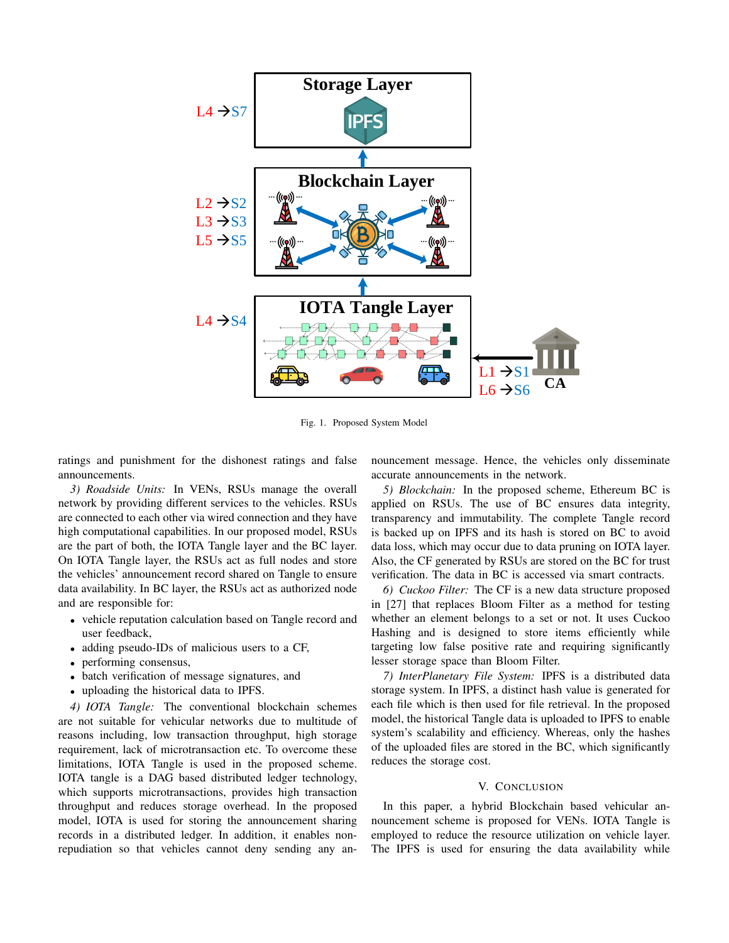

Fig. 1. Proposed System Model

ratings and punishment for the dishonest ratings and false announcements.

*3) Roadside Units:* In VENs, RSUs manage the overall network by providing different services to the vehicles. RSUs are connected to each other via wired connection and they have high computational capabilities. In our proposed model, RSUs are the part of both, the IOTA Tangle layer and the BC layer. On IOTA Tangle layer, the RSUs act as full nodes and store the vehicles' announcement record shared on Tangle to ensure data availability. In BC layer, the RSUs act as authorized node and are responsible for:

- vehicle reputation calculation based on Tangle record and user feedback,
- adding pseudo-IDs of malicious users to a CF,
- performing consensus,
- batch verification of message signatures, and
- uploading the historical data to IPFS.

*4) IOTA Tangle:* The conventional blockchain schemes are not suitable for vehicular networks due to multitude of reasons including, low transaction throughput, high storage requirement, lack of microtransaction etc. To overcome these limitations, IOTA Tangle is used in the proposed scheme. IOTA tangle is a DAG based distributed ledger technology, which supports microtransactions, provides high transaction throughput and reduces storage overhead. In the proposed model, IOTA is used for storing the announcement sharing records in a distributed ledger. In addition, it enables nonrepudiation so that vehicles cannot deny sending any announcement message. Hence, the vehicles only disseminate accurate announcements in the network.

*5) Blockchain:* In the proposed scheme, Ethereum BC is applied on RSUs. The use of BC ensures data integrity, transparency and immutability. The complete Tangle record is backed up on IPFS and its hash is stored on BC to avoid data loss, which may occur due to data pruning on IOTA layer. Also, the CF generated by RSUs are stored on the BC for trust verification. The data in BC is accessed via smart contracts.

*6) Cuckoo Filter:* The CF is a new data structure proposed in [27] that replaces Bloom Filter as a method for testing whether an element belongs to a set or not. It uses Cuckoo Hashing and is designed to store items efficiently while targeting low false positive rate and requiring significantly lesser storage space than Bloom Filter.

*7) InterPlanetary File System:* IPFS is a distributed data storage system. In IPFS, a distinct hash value is generated for each file which is then used for file retrieval. In the proposed model, the historical Tangle data is uploaded to IPFS to enable system's scalability and efficiency. Whereas, only the hashes of the uploaded files are stored in the BC, which significantly reduces the storage cost.

## V. CONCLUSION

In this paper, a hybrid Blockchain based vehicular announcement scheme is proposed for VENs. IOTA Tangle is employed to reduce the resource utilization on vehicle layer. The IPFS is used for ensuring the data availability while